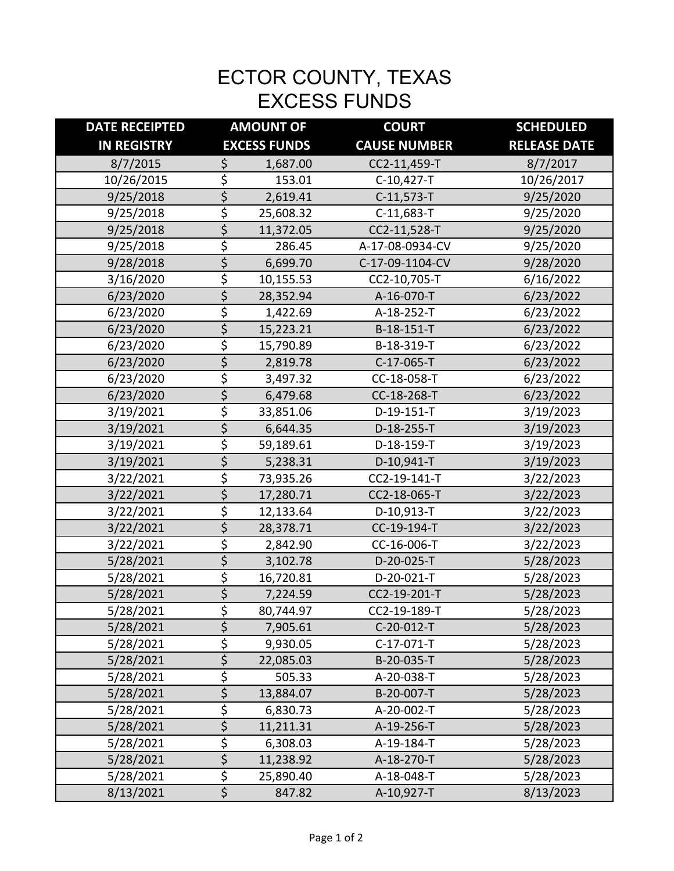## ECTOR COUNTY, TEXAS EXCESS FUNDS

| <b>DATE RECEIPTED</b> | <b>AMOUNT OF</b>                |           | <b>COURT</b>        | <b>SCHEDULED</b>    |
|-----------------------|---------------------------------|-----------|---------------------|---------------------|
| <b>IN REGISTRY</b>    | <b>EXCESS FUNDS</b>             |           | <b>CAUSE NUMBER</b> | <b>RELEASE DATE</b> |
| 8/7/2015              | \$                              | 1,687.00  | CC2-11,459-T        | 8/7/2017            |
| 10/26/2015            | \$                              | 153.01    | C-10,427-T          | 10/26/2017          |
| 9/25/2018             | $\overline{\boldsymbol{\zeta}}$ | 2,619.41  | $C-11,573-T$        | 9/25/2020           |
| 9/25/2018             | \$                              | 25,608.32 | C-11,683-T          | 9/25/2020           |
| 9/25/2018             | \$                              | 11,372.05 | CC2-11,528-T        | 9/25/2020           |
| 9/25/2018             | \$                              | 286.45    | A-17-08-0934-CV     | 9/25/2020           |
| 9/28/2018             | \$                              | 6,699.70  | C-17-09-1104-CV     | 9/28/2020           |
| 3/16/2020             | \$                              | 10,155.53 | CC2-10,705-T        | 6/16/2022           |
| 6/23/2020             | \$                              | 28,352.94 | A-16-070-T          | 6/23/2022           |
| 6/23/2020             | \$                              | 1,422.69  | A-18-252-T          | 6/23/2022           |
| 6/23/2020             | \$                              | 15,223.21 | B-18-151-T          | 6/23/2022           |
| 6/23/2020             | \$                              | 15,790.89 | B-18-319-T          | 6/23/2022           |
| 6/23/2020             | \$                              | 2,819.78  | C-17-065-T          | 6/23/2022           |
| 6/23/2020             | \$                              | 3,497.32  | CC-18-058-T         | 6/23/2022           |
| 6/23/2020             | \$                              | 6,479.68  | CC-18-268-T         | 6/23/2022           |
| 3/19/2021             | \$                              | 33,851.06 | D-19-151-T          | 3/19/2023           |
| 3/19/2021             | \$                              | 6,644.35  | D-18-255-T          | 3/19/2023           |
| 3/19/2021             | \$                              | 59,189.61 | D-18-159-T          | 3/19/2023           |
| 3/19/2021             | \$                              | 5,238.31  | D-10,941-T          | 3/19/2023           |
| 3/22/2021             | \$                              | 73,935.26 | CC2-19-141-T        | 3/22/2023           |
| 3/22/2021             | \$                              | 17,280.71 | CC2-18-065-T        | 3/22/2023           |
| 3/22/2021             | \$                              | 12,133.64 | D-10,913-T          | 3/22/2023           |
| 3/22/2021             | \$                              | 28,378.71 | CC-19-194-T         | 3/22/2023           |
| 3/22/2021             | \$                              | 2,842.90  | CC-16-006-T         | 3/22/2023           |
| 5/28/2021             | \$                              | 3,102.78  | D-20-025-T          | 5/28/2023           |
| 5/28/2021             | $\overline{\varsigma}$          | 16,720.81 | D-20-021-T          | 5/28/2023           |
| 5/28/2021             | \$                              | 7,224.59  | CC2-19-201-T        | 5/28/2023           |
| 5/28/2021             | \$                              | 80,744.97 | CC2-19-189-T        | 5/28/2023           |
| 5/28/2021             | \$                              | 7,905.61  | C-20-012-T          | 5/28/2023           |
| 5/28/2021             | \$                              | 9,930.05  | C-17-071-T          | 5/28/2023           |
| 5/28/2021             | \$                              | 22,085.03 | B-20-035-T          | 5/28/2023           |
| 5/28/2021             | \$                              | 505.33    | A-20-038-T          | 5/28/2023           |
| 5/28/2021             | \$                              | 13,884.07 | B-20-007-T          | 5/28/2023           |
| 5/28/2021             | \$                              | 6,830.73  | A-20-002-T          | 5/28/2023           |
| 5/28/2021             | \$                              | 11,211.31 | A-19-256-T          | 5/28/2023           |
| 5/28/2021             | $\frac{5}{5}$                   | 6,308.03  | A-19-184-T          | 5/28/2023           |
| 5/28/2021             |                                 | 11,238.92 | A-18-270-T          | 5/28/2023           |
| 5/28/2021             | $\overline{\xi}$                | 25,890.40 | A-18-048-T          | 5/28/2023           |
| 8/13/2021             | $\overline{\xi}$                | 847.82    | A-10,927-T          | 8/13/2023           |